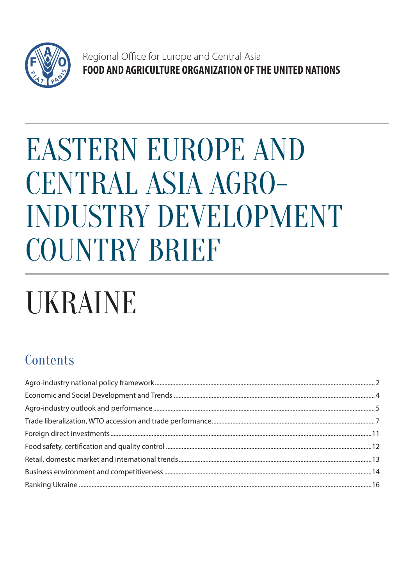

Regional Office for Europe and Central Asia FOOD AND AGRICULTURE ORGANIZATION OF THE UNITED NATIONS

# **EASTERN EUROPE AND** CENTRAL ASIA AGRO-**INDUSTRY DEVELOPMENT** COUNTRY BRIEF

# **UKRAINE**

# Contents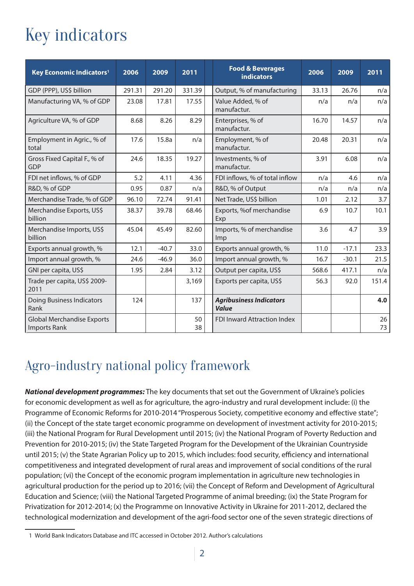# Key indicators

| Key Economic Indicators <sup>1</sup>                     | 2006   | 2009    | 2011     | <b>Food &amp; Beverages</b><br><b>indicators</b>   | 2006  | 2009    | 2011     |
|----------------------------------------------------------|--------|---------|----------|----------------------------------------------------|-------|---------|----------|
| GDP (PPP), US\$ billion                                  | 291.31 | 291.20  | 331.39   | Output, % of manufacturing<br>33.13                |       | 26.76   | n/a      |
| Manufacturing VA, % of GDP                               | 23.08  | 17.81   | 17.55    | Value Added, % of<br>manufactur.                   | n/a   | n/a     |          |
| Agriculture VA, % of GDP                                 | 8.68   | 8.26    | 8.29     | Enterprises, % of<br>16.70<br>14.57<br>manufactur. |       |         | n/a      |
| Employment in Agric., % of<br>total                      | 17.6   | 15.8a   | n/a      | Employment, % of<br>manufactur.                    | 20.48 | 20.31   | n/a      |
| Gross Fixed Capital F., % of<br><b>GDP</b>               | 24.6   | 18.35   | 19.27    | Investments, % of<br>manufactur.                   | 3.91  | 6.08    | n/a      |
| FDI net inflows, % of GDP                                | 5.2    | 4.11    | 4.36     | FDI inflows, % of total inflow                     | n/a   | 4.6     | n/a      |
| R&D, % of GDP                                            | 0.95   | 0.87    | n/a      | R&D, % of Output<br>n/a                            |       | n/a     | n/a      |
| Merchandise Trade, % of GDP                              | 96.10  | 72.74   | 91.41    | Net Trade, US\$ billion<br>1.01                    |       | 2.12    | 3.7      |
| Merchandise Exports, US\$<br>billion                     | 38.37  | 39.78   | 68.46    | Exports, %of merchandise<br>6.9<br>Exp             |       | 10.7    | 10.1     |
| Merchandise Imports, US\$<br>billion                     | 45.04  | 45.49   | 82.60    | Imports, % of merchandise<br>Imp                   | 3.6   | 4.7     | 3.9      |
| Exports annual growth, %                                 | 12.1   | $-40.7$ | 33.0     | Exports annual growth, %<br>11.0                   |       | $-17.1$ | 23.3     |
| Import annual growth, %                                  | 24.6   | $-46.9$ | 36.0     | Import annual growth, %<br>16.7                    |       | $-30.1$ | 21.5     |
| GNI per capita, US\$                                     | 1.95   | 2.84    | 3.12     | Output per capita, US\$<br>568.6                   |       | 417.1   | n/a      |
| Trade per capita, US\$ 2009-<br>2011                     |        |         | 3,169    | Exports per capita, US\$<br>56.3                   |       | 92.0    | 151.4    |
| <b>Doing Business Indicators</b><br>Rank                 | 124    |         | 137      | <b>Agribusiness Indicators</b><br><b>Value</b>     |       |         | 4.0      |
| <b>Global Merchandise Exports</b><br><b>Imports Rank</b> |        |         | 50<br>38 | <b>FDI Inward Attraction Index</b>                 |       |         | 26<br>73 |

# Agro-industry national policy framework

**National development programmes:** The key documents that set out the Government of Ukraine's policies for economic development as well as for agriculture, the agro-industry and rural development include: (i) the Programme of Economic Reforms for 2010-2014 "Prosperous Society, competitive economy and effective state"; (ii) the Concept of the state target economic programme on development of investment activity for 2010-2015; (iii) the National Program for Rural Development until 2015; (iv) the National Program of Poverty Reduction and Prevention for 2010-2015; (iv) the State Targeted Program for the Development of the Ukrainian Countryside until 2015; (v) the State Agrarian Policy up to 2015, which includes: food security, efficiency and international competitiveness and integrated development of rural areas and improvement of social conditions of the rural population; (vi) the Concept of the economic program implementation in agriculture new technologies in agricultural production for the period up to 2016; (vii) the Concept of Reform and Development of Agricultural Education and Science; (viii) the National Targeted Programme of animal breeding; (ix) the State Program for Privatization for 2012-2014; (x) the Programme on Innovative Activity in Ukraine for 2011-2012, declared the technological modernization and development of the agri-food sector one of the seven strategic directions of

<sup>1</sup> World Bank Indicators Database and ITC accessed in October 2012. Author's calculations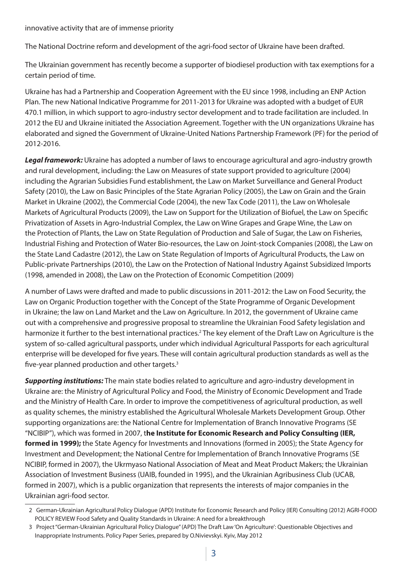innovative activity that are of immense priority

The National Doctrine reform and development of the agri-food sector of Ukraine have been drafted.

The Ukrainian government has recently become a supporter of biodiesel production with tax exemptions for a certain period of time.

Ukraine has had a Partnership and Cooperation Agreement with the EU since 1998, including an ENP Action Plan. The new National Indicative Programme for 2011-2013 for Ukraine was adopted with a budget of EUR 470.1 million, in which support to agro-industry sector development and to trade facilitation are included. In 2012 the EU and Ukraine initiated the Association Agreement. Together with the UN organizations Ukraine has elaborated and signed the Government of Ukraine-United Nations Partnership Framework (PF) for the period of 2012-2016.

**Legal framework:** Ukraine has adopted a number of laws to encourage agricultural and agro-industry growth and rural development, including: the Law on Measures of state support provided to agriculture (2004) including the Agrarian Subsidies Fund establishment, the Law on Market Surveillance and General Product Safety (2010), the Law on Basic Principles of the State Agrarian Policy (2005), the Law on Grain and the Grain Market in Ukraine (2002), the Commercial Code (2004), the new Tax Code (2011), the Law on Wholesale Markets of Agricultural Products (2009), the Law on Support for the Utilization of Biofuel, the Law on Specific Privatization of Assets in Agro-Industrial Complex, the Law on Wine Grapes and Grape Wine, the Law on the Protection of Plants, the Law on State Regulation of Production and Sale of Sugar, the Law on Fisheries, Industrial Fishing and Protection of Water Bio-resources, the Law on Joint-stock Companies (2008), the Law on the State Land Cadastre (2012), the Law on State Regulation of Imports of Agricultural Products, the Law on Public-private Partnerships (2010), the Law on the Protection of National Industry Against Subsidized Imports (1998, amended in 2008), the Law on the Protection of Economic Competition (2009)

A number of Laws were drafted and made to public discussions in 2011-2012: the Law on Food Security, the Law on Organic Production together with the Concept of the State Programme of Organic Development in Ukraine; the law on Land Market and the Law on Agriculture. In 2012, the government of Ukraine came out with a comprehensive and progressive proposal to streamline the Ukrainian Food Safety legislation and harmonize it further to the best international practices.<sup>2</sup> The key element of the Draft Law on Agriculture is the system of so-called agricultural passports, under which individual Agricultural Passports for each agricultural enterprise will be developed for five years. These will contain agricultural production standards as well as the five-year planned production and other targets. $3$ 

**Supporting institutions:** The main state bodies related to agriculture and agro-industry development in Ukraine are: the Ministry of Agricultural Policy and Food, the Ministry of Economic Development and Trade and the Ministry of Health Care. In order to improve the competitiveness of agricultural production, as well as quality schemes, the ministry established the Agricultural Wholesale Markets Development Group. Other supporting organizations are: the National Centre for Implementation of Branch Innovative Programs (SE "NCIBIP"), which was formed in 2007, t**he Institute for Economic Research and Policy Consulting (IER, formed in 1999);** the State Agency for Investments and Innovations (formed in 2005); the State Agency for Investment and Development; the National Centre for Implementation of Branch Innovative Programs (SE NCIBIP, formed in 2007), the Ukrmyaso National Association of Meat and Meat Product Makers; the Ukrainian Association of Investment Business (UAIB, founded in 1995), and the Ukrainian Agribusiness Club (UCAB, formed in 2007), which is a public organization that represents the interests of major companies in the Ukrainian agri-food sector.

<sup>2</sup> German-Ukrainian Agricultural Policy Dialogue (APD) Institute for Economic Research and Policy (IER) Consulting (2012) AGRI-FOOD POLICY REVIEW Food Safety and Quality Standards in Ukraine: A need for a breakthrough

<sup>3</sup> Project "German-Ukrainian Agricultural Policy Dialogue" (APD) The Draft Law 'On Agriculture': Questionable Objectives and Inappropriate Instruments. Policy Paper Series, prepared by O.Nivievskyi. Kyiv, May 2012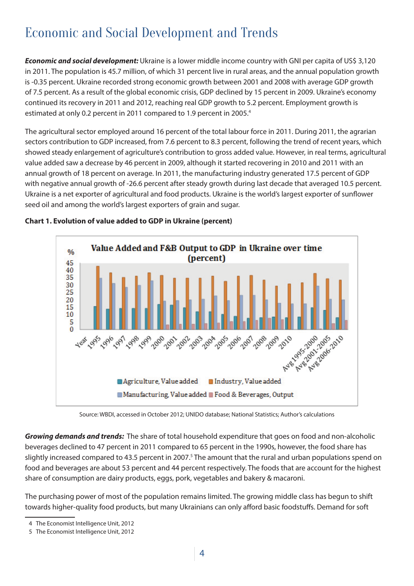# Economic and Social Development and Trends

**Economic and social development:** Ukraine is a lower middle income country with GNI per capita of US\$ 3,120 in 2011. The population is 45.7 million, of which 31 percent live in rural areas, and the annual population growth is -0.35 percent. Ukraine recorded strong economic growth between 2001 and 2008 with average GDP growth of 7.5 percent. As a result of the global economic crisis, GDP declined by 15 percent in 2009. Ukraine's economy continued its recovery in 2011 and 2012, reaching real GDP growth to 5.2 percent. Employment growth is estimated at only 0.2 percent in 2011 compared to 1.9 percent in 2005.<sup>4</sup>

The agricultural sector employed around 16 percent of the total labour force in 2011. During 2011, the agrarian sectors contribution to GDP increased, from 7.6 percent to 8.3 percent, following the trend of recent years, which showed steady enlargement of agriculture's contribution to gross added value. However, in real terms, agricultural value added saw a decrease by 46 percent in 2009, although it started recovering in 2010 and 2011 with an annual growth of 18 percent on average. In 2011, the manufacturing industry generated 17.5 percent of GDP with negative annual growth of -26.6 percent after steady growth during last decade that averaged 10.5 percent. Ukraine is a net exporter of agricultural and food products. Ukraine is the world's largest exporter of sunflower seed oil and among the world's largest exporters of grain and sugar.



#### **Chart 1. Evolution of value added to GDP in Ukraine (percent)**

Source: WBDI, accessed in October 2012; UNIDO database; National Statistics; Author's calculations

**Growing demands and trends:** The share of total household expenditure that goes on food and non-alcoholic beverages declined to 47 percent in 2011 compared to 65 percent in the 1990s, however, the food share has slightly increased compared to 43.5 percent in 2007.<sup>5</sup> The amount that the rural and urban populations spend on food and beverages are about 53 percent and 44 percent respectively. The foods that are account for the highest share of consumption are dairy products, eggs, pork, vegetables and bakery & macaroni.

The purchasing power of most of the population remains limited. The growing middle class has begun to shift towards higher-quality food products, but many Ukrainians can only afford basic foodstuffs. Demand for soft

<sup>4</sup> The Economist Intelligence Unit, 2012

<sup>5</sup> The Economist Intelligence Unit, 2012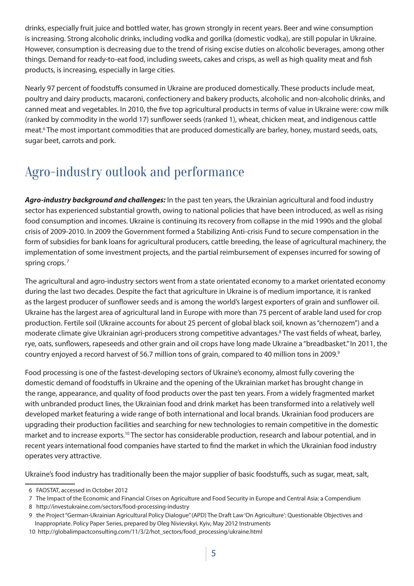drinks, especially fruit juice and bottled water, has grown strongly in recent years. Beer and wine consumption is increasing. Strong alcoholic drinks, including vodka and gorilka (domestic vodka), are still popular in Ukraine. However, consumption is decreasing due to the trend of rising excise duties on alcoholic beverages, among other things. Demand for ready-to-eat food, including sweets, cakes and crisps, as well as high quality meat and fish products, is increasing, especially in large cities.

Nearly 97 percent of foodstuffs consumed in Ukraine are produced domestically. These products include meat, poultry and dairy products, macaroni, confectionery and bakery products, alcoholic and non-alcoholic drinks, and canned meat and vegetables. In 2010, the five top agricultural products in terms of value in Ukraine were: cow milk (ranked by commodity in the world 17) sunflower seeds (ranked 1), wheat, chicken meat, and indigenous cattle meat.<sup>6</sup> The most important commodities that are produced domestically are barley, honey, mustard seeds, oats, sugar beet, carrots and pork.

# Agro-industry outlook and performance

**Agro-industry background and challenges:** In the past ten years, the Ukrainian agricultural and food industry sector has experienced substantial growth, owing to national policies that have been introduced, as well as rising food consumption and incomes. Ukraine is continuing its recovery from collapse in the mid 1990s and the global crisis of 2009-2010. In 2009 the Government formed a Stabilizing Anti-crisis Fund to secure compensation in the form of subsidies for bank loans for agricultural producers, cattle breeding, the lease of agricultural machinery, the implementation of some investment projects, and the partial reimbursement of expenses incurred for sowing of spring crops.<sup>7</sup>

The agricultural and agro-industry sectors went from a state orientated economy to a market orientated economy during the last two decades. Despite the fact that agriculture in Ukraine is of medium importance, it is ranked as the largest producer of sunflower seeds and is among the world's largest exporters of grain and sunflower oil. Ukraine has the largest area of agricultural land in Europe with more than 75 percent of arable land used for crop production. Fertile soil (Ukraine accounts for about 25 percent of global black soil, known as "chernozem") and a moderate climate give Ukrainian agri-producers strong competitive advantages.<sup>8</sup> The vast fields of wheat, barley, rye, oats, sunflowers, rapeseeds and other grain and oil crops have long made Ukraine a "breadbasket." In 2011, the country enjoyed a record harvest of 56.7 million tons of grain, compared to 40 million tons in 2009.<sup>9</sup>

Food processing is one of the fastest-developing sectors of Ukraine's economy, almost fully covering the domestic demand of foodstuffs in Ukraine and the opening of the Ukrainian market has brought change in the range, appearance, and quality of food products over the past ten years. From a widely fragmented market with unbranded product lines, the Ukrainian food and drink market has been transformed into a relatively well developed market featuring a wide range of both international and local brands. Ukrainian food producers are upgrading their production facilities and searching for new technologies to remain competitive in the domestic market and to increase exports.10 The sector has considerable production, research and labour potential, and in recent years international food companies have started to find the market in which the Ukrainian food industry operates very attractive.

Ukraine's food industry has traditionally been the major supplier of basic foodstuffs, such as sugar, meat, salt,

<sup>6</sup> FAOSTAT, accessed in October 2012

<sup>7</sup> The Impact of the Economic and Financial Crises on Agriculture and Food Security in Europe and Central Asia: a Compendium

<sup>8</sup> http://investukraine.com/sectors/food-processing-industry

<sup>9</sup> the Project "German-Ukrainian Agricultural Policy Dialogue" (APD) The Draft Law 'On Agriculture': Questionable Objectives and Inappropriate. Policy Paper Series, prepared by Oleg Nivievskyi. Kyiv, May 2012 Instruments

<sup>10</sup> http://globalimpactconsulting.com/11/3/2/hot\_sectors/food\_processing/ukraine.html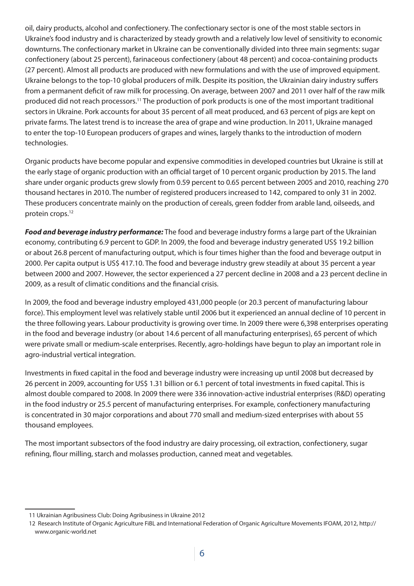oil, dairy products, alcohol and confectionery. The confectionary sector is one of the most stable sectors in Ukraine's food industry and is characterized by steady growth and a relatively low level of sensitivity to economic downturns. The confectionary market in Ukraine can be conventionally divided into three main segments: sugar confectionery (about 25 percent), farinaceous confectionery (about 48 percent) and cocoa-containing products (27 percent). Almost all products are produced with new formulations and with the use of improved equipment. Ukraine belongs to the top-10 global producers of milk. Despite its position, the Ukrainian dairy industry suffers from a permanent deficit of raw milk for processing. On average, between 2007 and 2011 over half of the raw milk produced did not reach processors.11 The production of pork products is one of the most important traditional sectors in Ukraine. Pork accounts for about 35 percent of all meat produced, and 63 percent of pigs are kept on private farms. The latest trend is to increase the area of grape and wine production. In 2011, Ukraine managed to enter the top-10 European producers of grapes and wines, largely thanks to the introduction of modern technologies.

Organic products have become popular and expensive commodities in developed countries but Ukraine is still at the early stage of organic production with an official target of 10 percent organic production by 2015. The land share under organic products grew slowly from 0.59 percent to 0.65 percent between 2005 and 2010, reaching 270 thousand hectares in 2010. The number of registered producers increased to 142, compared to only 31 in 2002. These producers concentrate mainly on the production of cereals, green fodder from arable land, oilseeds, and protein crops.<sup>12</sup>

**Food and beverage industry performance:** The food and beverage industry forms a large part of the Ukrainian economy, contributing 6.9 percent to GDP. In 2009, the food and beverage industry generated US\$ 19.2 billion or about 26.8 percent of manufacturing output, which is four times higher than the food and beverage output in 2000. Per capita output is US\$ 417.10. The food and beverage industry grew steadily at about 35 percent a year between 2000 and 2007. However, the sector experienced a 27 percent decline in 2008 and a 23 percent decline in 2009, as a result of climatic conditions and the financial crisis.

In 2009, the food and beverage industry employed 431,000 people (or 20.3 percent of manufacturing labour force). This employment level was relatively stable until 2006 but it experienced an annual decline of 10 percent in the three following years. Labour productivity is growing over time. In 2009 there were 6,398 enterprises operating in the food and beverage industry (or about 14.6 percent of all manufacturing enterprises), 65 percent of which were private small or medium-scale enterprises. Recently, agro-holdings have begun to play an important role in agro-industrial vertical integration.

Investments in fixed capital in the food and beverage industry were increasing up until 2008 but decreased by 26 percent in 2009, accounting for US\$ 1.31 billion or 6.1 percent of total investments in fixed capital. This is almost double compared to 2008. In 2009 there were 336 innovation-active industrial enterprises (R&D) operating in the food industry or 25.5 percent of manufacturing enterprises. For example, confectionery manufacturing is concentrated in 30 major corporations and about 770 small and medium-sized enterprises with about 55 thousand employees.

The most important subsectors of the food industry are dairy processing, oil extraction, confectionery, sugar refining, flour milling, starch and molasses production, canned meat and vegetables.

<sup>11</sup> Ukrainian Agribusiness Club: Doing Agribusiness in Ukraine 2012

<sup>12</sup> Research Institute of Organic Agriculture FiBL and International Federation of Organic Agriculture Movements IFOAM, 2012, http:// www.organic-world.net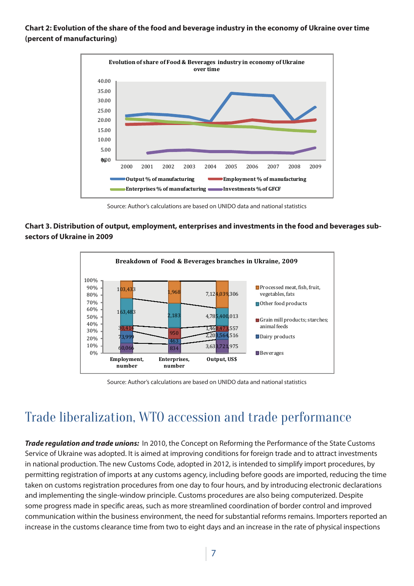**Chart 2: Evolution of the share of the food and beverage industry in the economy of Ukraine over time (percent of manufacturing)** 



Source: Author's calculations are based on UNIDO data and national statistics

#### **Chart 3. Distribution of output, employment, enterprises and investments in the food and beverages subsectors of Ukraine in 2009**



Source: Author's calculations are based on UNIDO data and national statistics

## Trade liberalization, WTO accession and trade performance

**Trade regulation and trade unions:** In 2010, the Concept on Reforming the Performance of the State Customs Service of Ukraine was adopted. It is aimed at improving conditions for foreign trade and to attract investments in national production. The new Customs Code, adopted in 2012, is intended to simplify import procedures, by permitting registration of imports at any customs agency, including before goods are imported, reducing the time taken on customs registration procedures from one day to four hours, and by introducing electronic declarations and implementing the single-window principle. Customs procedures are also being computerized. Despite some progress made in specific areas, such as more streamlined coordination of border control and improved communication within the business environment, the need for substantial reforms remains. Importers reported an increase in the customs clearance time from two to eight days and an increase in the rate of physical inspections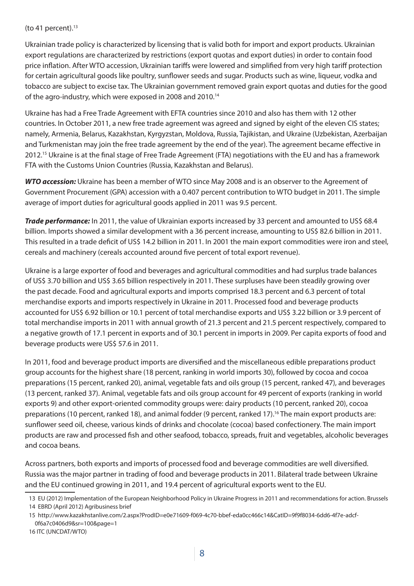#### (to 41 percent). $13$

Ukrainian trade policy is characterized by licensing that is valid both for import and export products. Ukrainian export regulations are characterized by restrictions (export quotas and export duties) in order to contain food price inflation. After WTO accession, Ukrainian tariffs were lowered and simplified from very high tariff protection for certain agricultural goods like poultry, sunflower seeds and sugar. Products such as wine, ligueur, vodka and tobacco are subject to excise tax. The Ukrainian government removed grain export quotas and duties for the good of the agro-industry, which were exposed in 2008 and 2010.<sup>14</sup>

Ukraine has had a Free Trade Agreement with EFTA countries since 2010 and also has them with 12 other countries. In October 2011, a new free trade agreement was agreed and signed by eight of the eleven CIS states; namely, Armenia, Belarus, Kazakhstan, Kyrgyzstan, Moldova, Russia, Tajikistan, and Ukraine (Uzbekistan, Azerbaijan and Turkmenistan may join the free trade agreement by the end of the year). The agreement became effective in 2012.<sup>15</sup> Ukraine is at the final stage of Free Trade Agreement (FTA) negotiations with the EU and has a framework FTA with the Customs Union Countries (Russia, Kazakhstan and Belarus).

**WTO accession:** Ukraine has been a member of WTO since May 2008 and is an observer to the Agreement of Government Procurement (GPA) accession with a 0.407 percent contribution to WTO budget in 2011. The simple average of import duties for agricultural goods applied in 2011 was 9.5 percent.

**Trade performance:** In 2011, the value of Ukrainian exports increased by 33 percent and amounted to US\$ 68.4 billion. Imports showed a similar development with a 36 percent increase, amounting to US\$ 82.6 billion in 2011. This resulted in a trade deficit of US\$ 14.2 billion in 2011. In 2001 the main export commodities were iron and steel. cereals and machinery (cereals accounted around five percent of total export revenue).

Ukraine is a large exporter of food and beverages and agricultural commodities and had surplus trade balances of US\$ 3.70 billion and US\$ 3.65 billion respectively in 2011. These surpluses have been steadily growing over the past decade. Food and agricultural exports and imports comprised 18.3 percent and 6.3 percent of total merchandise exports and imports respectively in Ukraine in 2011. Processed food and beverage products accounted for US\$ 6.92 billion or 10.1 percent of total merchandise exports and US\$ 3.22 billion or 3.9 percent of total merchandise imports in 2011 with annual growth of 21.3 percent and 21.5 percent respectively, compared to a negative growth of 17.1 percent in exports and of 30.1 percent in imports in 2009. Per capita exports of food and beverage products were US\$ 57.6 in 2011.

In 2011, food and beverage product imports are diversified and the miscellaneous edible preparations product group accounts for the highest share (18 percent, ranking in world imports 30), followed by cocoa and cocoa preparations (15 percent, ranked 20), animal, vegetable fats and oils group (15 percent, ranked 47), and beverages (13 percent, ranked 37). Animal, vegetable fats and oils group account for 49 percent of exports (ranking in world exports 9) and other export-oriented commodity groups were: dairy products (10 percent, ranked 20), cocoa preparations (10 percent, ranked 18), and animal fodder (9 percent, ranked 17).<sup>16</sup> The main export products are: sunflower seed oil, cheese, various kinds of drinks and chocolate (cocoa) based confectionery. The main import products are raw and processed fish and other seafood, tobacco, spreads, fruit and vegetables, alcoholic beverages and cocoa beans.

Across partners, both exports and imports of processed food and beverage commodities are well diversified. Russia was the major partner in trading of food and beverage products in 2011. Bilateral trade between Ukraine and the EU continued growing in 2011, and 19.4 percent of agricultural exports went to the EU.

14 EBRD (April 2012) Agribusiness brief

<sup>13</sup> EU (2012) Implementation of the European Neighborhood Policy in Ukraine Progress in 2011 and recommendations for action. Brussels

<sup>15</sup> http://www.kazakhstanlive.com/2.aspx?ProdID=e0e71609-f069-4c70-bbef-eda0cc466c14&CatID=9f9f8034-6dd6-4f7e-adcf-0f6a7c0406d9&sr=100&page=1

<sup>16</sup> ITC (UNCDAT/WTO)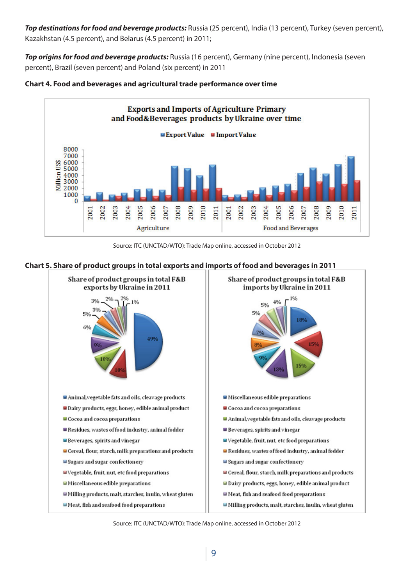**Top destinations for food and beverage products:** Russia (25 percent), India (13 percent), Turkey (seven percent), Kazakhstan (4.5 percent), and Belarus (4.5 percent) in 2011;

**Top origins for food and beverage products:** Russia (16 percent), Germany (nine percent), Indonesia (seven percent), Brazil (seven percent) and Poland (six percent) in 2011





Source: ITC (UNCTAD/WTO): Trade Map online, accessed in October 2012





Source: ITC (UNCTAD/WTO): Trade Map online, accessed in October 2012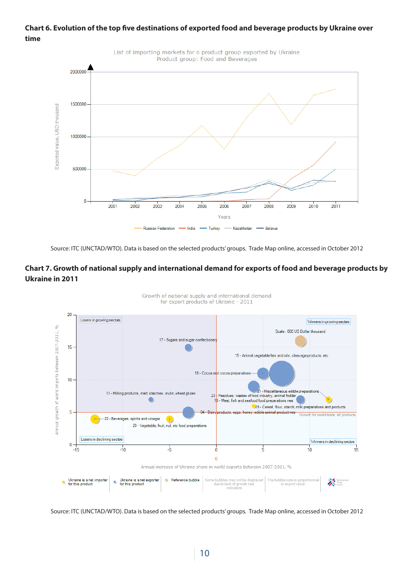#### **Chart 6. Evolution of the top five destinations of exported food and beverage products by Ukraine over time**



Source: ITC (UNCTAD/WTO). Data is based on the selected products' groups. Trade Map online, accessed in October 2012

#### **Chart 7. Growth of national supply and international demand for exports of food and beverage products by Ukraine in 2011**



Growth of national supply and international demand for export products of Ukraine - 2011

Source: ITC (UNCTAD/WTO). Data is based on the selected products' groups. Trade Map online, accessed in October 2012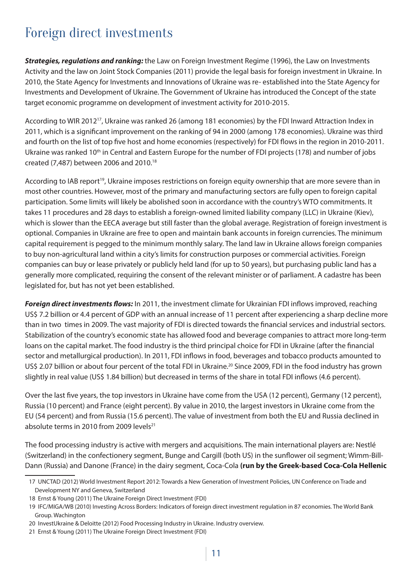# Foreign direct investments

**Strategies, regulations and ranking:** the Law on Foreign Investment Regime (1996), the Law on Investments Activity and the law on Joint Stock Companies (2011) provide the legal basis for foreign investment in Ukraine. In 2010, the State Agency for Investments and Innovations of Ukraine was re- established into the State Agency for Investments and Development of Ukraine. The Government of Ukraine has introduced the Concept of the state target economic programme on development of investment activity for 2010-2015.

According to WIR 201217, Ukraine was ranked 26 (among 181 economies) by the FDI Inward Attraction Index in 2011, which is a significant improvement on the ranking of 94 in 2000 (among 178 economies). Ukraine was third and fourth on the list of top five host and home economies (respectively) for FDI flows in the region in 2010-2011. Ukraine was ranked 10<sup>th</sup> in Central and Eastern Europe for the number of FDI projects (178) and number of jobs created (7,487) between 2006 and 2010.18

According to IAB report<sup>19</sup>, Ukraine imposes restrictions on foreign equity ownership that are more severe than in most other countries. However, most of the primary and manufacturing sectors are fully open to foreign capital participation. Some limits will likely be abolished soon in accordance with the country's WTO commitments. It takes 11 procedures and 28 days to establish a foreign-owned limited liability company (LLC) in Ukraine (Kiev), which is slower than the EECA average but still faster than the global average. Registration of foreign investment is optional. Companies in Ukraine are free to open and maintain bank accounts in foreign currencies. The minimum capital requirement is pegged to the minimum monthly salary. The land law in Ukraine allows foreign companies to buy non-agricultural land within a city's limits for construction purposes or commercial activities. Foreign companies can buy or lease privately or publicly held land (for up to 50 years), but purchasing public land has a generally more complicated, requiring the consent of the relevant minister or of parliament. A cadastre has been legislated for, but has not yet been established.

**Foreign direct investments flows:** In 2011, the investment climate for Ukrainian FDI inflows improved, reaching US\$ 7.2 billion or 4.4 percent of GDP with an annual increase of 11 percent after experiencing a sharp decline more than in two times in 2009. The vast majority of FDI is directed towards the financial services and industrial sectors. Stabilization of the country's economic state has allowed food and beverage companies to attract more long-term loans on the capital market. The food industry is the third principal choice for FDI in Ukraine (after the financial sector and metallurgical production). In 2011, FDI inflows in food, beverages and tobacco products amounted to US\$ 2.07 billion or about four percent of the total FDI in Ukraine.<sup>20</sup> Since 2009, FDI in the food industry has grown slightly in real value (US\$ 1.84 billion) but decreased in terms of the share in total FDI inflows (4.6 percent).

Over the last five years, the top investors in Ukraine have come from the USA (12 percent), Germany (12 percent), Russia (10 percent) and France (eight percent). By value in 2010, the largest investors in Ukraine come from the EU (54 percent) and from Russia (15.6 percent). The value of investment from both the EU and Russia declined in absolute terms in 2010 from 2009 levels $21$ 

The food processing industry is active with mergers and acquisitions. The main international players are: Nestlé (Switzerland) in the confectionery segment, Bunge and Cargill (both US) in the sunflower oil segment; Wimm-Bill-Dann (Russia) and Danone (France) in the dairy segment, Coca-Cola **(run by the Greek-based Coca-Cola Hellenic** 

<sup>17</sup> UNCTAD (2012) World Investment Report 2012: Towards a New Generation of Investment Policies, UN Conference on Trade and Development NY and Geneva, Switzerland

<sup>18</sup> Ernst & Young (2011) The Ukraine Foreign Direct Investment (FDI)

<sup>19</sup> IFC/MIGA/WB (2010) Investing Across Borders: Indicators of foreign direct investment regulation in 87 economies. The World Bank Group. Wachington

<sup>20</sup> InvestUkraine & Deloitte (2012) Food Processing Industry in Ukraine. Industry overview.

<sup>21</sup> Ernst & Young (2011) The Ukraine Foreign Direct Investment (FDI)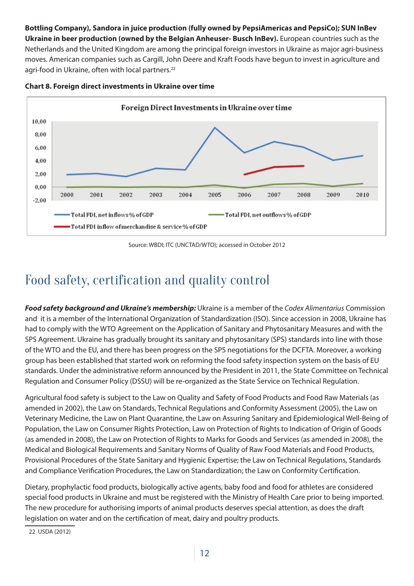**Bottling Company), Sandora in juice production (fully owned by PepsiAmericas and PepsiCo); SUN InBev Ukraine in beer production (owned by the Belgian Anheuser- Busch InBev).** European countries such as the Netherlands and the United Kingdom are among the principal foreign investors in Ukraine as major agri-business moves. American companies such as Cargill, John Deere and Kraft Foods have begun to invest in agriculture and agri-food in Ukraine, often with local partners.<sup>22</sup>



**Chart 8. Foreign direct investments in Ukraine over time**

Source: WBDI; ITC (UNCTAD/WTO); accessed in October 2012

# Food safety, certification and quality control

**Food safety background and Ukraine's membership:** Ukraine is a member of the *Codex Alimentarius* Commission and it is a member of the International Organization of Standardization (ISO). Since accession in 2008, Ukraine has had to comply with the WTO Agreement on the Application of Sanitary and Phytosanitary Measures and with the SPS Agreement. Ukraine has gradually brought its sanitary and phytosanitary (SPS) standards into line with those of the WTO and the EU, and there has been progress on the SPS negotiations for the DCFTA. Moreover, a working group has been established that started work on reforming the food safety inspection system on the basis of EU standards. Under the administrative reform announced by the President in 2011, the State Committee on Technical Regulation and Consumer Policy (DSSU) will be re-organized as the State Service on Technical Regulation.

Agricultural food safety is subject to the Law on Quality and Safety of Food Products and Food Raw Materials (as amended in 2002), the Law on Standards, Technical Regulations and Conformity Assessment (2005), the Law on Veterinary Medicine, the Law on Plant Quarantine, the Law on Assuring Sanitary and Epidemiological Well-Being of Population, the Law on Consumer Rights Protection, Law on Protection of Rights to Indication of Origin of Goods (as amended in 2008), the Law on Protection of Rights to Marks for Goods and Services (as amended in 2008), the Medical and Biological Requirements and Sanitary Norms of Quality of Raw Food Materials and Food Products, Provisional Procedures of the State Sanitary and Hygienic Expertise; the Law on Technical Regulations, Standards and Compliance Verification Procedures, the Law on Standardization; the Law on Conformity Certification.

Dietary, prophylactic food products, biologically active agents, baby food and food for athletes are considered special food products in Ukraine and must be registered with the Ministry of Health Care prior to being imported. The new procedure for authorising imports of animal products deserves special attention, as does the draft legislation on water and on the certification of meat, dairy and poultry products.

22 USDA (2012)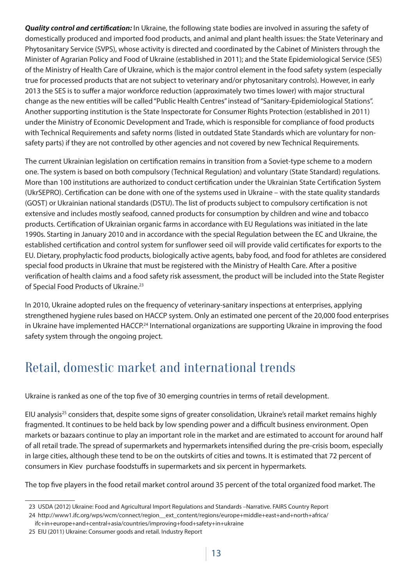**Quality control and certification:** In Ukraine, the following state bodies are involved in assuring the safety of domestically produced and imported food products, and animal and plant health issues: the State Veterinary and Phytosanitary Service (SVPS), whose activity is directed and coordinated by the Cabinet of Ministers through the Minister of Agrarian Policy and Food of Ukraine (established in 2011); and the State Epidemiological Service (SES) of the Ministry of Health Care of Ukraine, which is the major control element in the food safety system (especially true for processed products that are not subject to veterinary and/or phytosanitary controls). However, in early 2013 the SES is to suffer a major workforce reduction (approximately two times lower) with major structural change as the new entities will be called "Public Health Centres" instead of "Sanitary-Epidemiological Stations". Another supporting institution is the State Inspectorate for Consumer Rights Protection (established in 2011) under the Ministry of Economic Development and Trade, which is responsible for compliance of food products with Technical Requirements and safety norms (listed in outdated State Standards which are voluntary for nonsafety parts) if they are not controlled by other agencies and not covered by new Technical Requirements.

The current Ukrainian legislation on certification remains in transition from a Soviet-type scheme to a modern one. The system is based on both compulsory (Technical Regulation) and voluntary (State Standard) regulations. More than 100 institutions are authorized to conduct certification under the Ukrainian State Certification System (UkrSEPRO). Certification can be done with one of the systems used in Ukraine – with the state quality standards (GOST) or Ukrainian national standards (DSTU). The list of products subject to compulsory certification is not extensive and includes mostly seafood, canned products for consumption by children and wine and tobacco products. Certification of Ukrainian organic farms in accordance with EU Regulations was initiated in the late 1990s. Starting in January 2010 and in accordance with the special Regulation between the EC and Ukraine, the established certification and control system for sunflower seed oil will provide valid certificates for exports to the EU. Dietary, prophylactic food products, biologically active agents, baby food, and food for athletes are considered special food products in Ukraine that must be registered with the Ministry of Health Care. After a positive verification of health claims and a food safety risk assessment, the product will be included into the State Register of Special Food Products of Ukraine.<sup>23</sup>

In 2010, Ukraine adopted rules on the frequency of veterinary-sanitary inspections at enterprises, applying strengthened hygiene rules based on HACCP system. Only an estimated one percent of the 20,000 food enterprises in Ukraine have implemented HACCP.<sup>24</sup> International organizations are supporting Ukraine in improving the food safety system through the ongoing project.

# Retail, domestic market and international trends

Ukraine is ranked as one of the top five of 30 emerging countries in terms of retail development.

EIU analysis<sup>25</sup> considers that, despite some signs of greater consolidation, Ukraine's retail market remains highly fragmented. It continues to be held back by low spending power and a difficult business environment. Open markets or bazaars continue to play an important role in the market and are estimated to account for around half of all retail trade. The spread of supermarkets and hypermarkets intensified during the pre-crisis boom, especially in large cities, although these tend to be on the outskirts of cities and towns. It is estimated that 72 percent of consumers in Kiev purchase foodstuffs in supermarkets and six percent in hypermarkets.

The top five players in the food retail market control around 35 percent of the total organized food market. The

<sup>23</sup> USDA (2012) Ukraine: Food and Agricultural Import Regulations and Standards –Narrative. FAIRS Country Report

<sup>24</sup> http://www1.ifc.org/wps/wcm/connect/region\_\_ext\_content/regions/europe+middle+east+and+north+africa/

ifc+in+europe+and+central+asia/countries/improving+food+safety+in+ukraine

<sup>25</sup> EIU (2011) Ukraine: Consumer goods and retail. Industry Report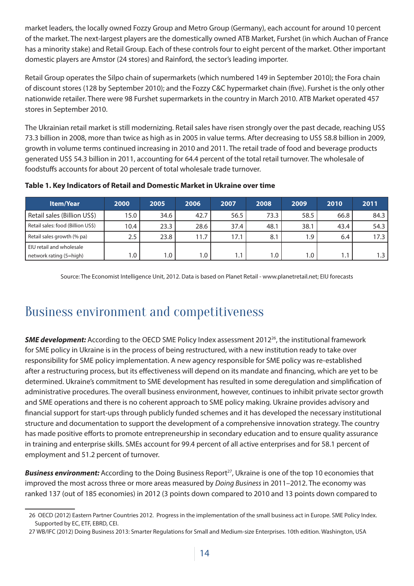market leaders, the locally owned Fozzy Group and Metro Group (Germany), each account for around 10 percent of the market. The next-largest players are the domestically owned ATB Market, Furshet (in which Auchan of France has a minority stake) and Retail Group. Each of these controls four to eight percent of the market. Other important domestic players are Amstor (24 stores) and Rainford, the sector's leading importer.

Retail Group operates the Silpo chain of supermarkets (which numbered 149 in September 2010); the Fora chain of discount stores (128 by September 2010); and the Fozzy C&C hypermarket chain (five). Furshet is the only other nationwide retailer. There were 98 Furshet supermarkets in the country in March 2010. ATB Market operated 457 stores in September 2010.

The Ukrainian retail market is still modernizing. Retail sales have risen strongly over the past decade, reaching US\$ 73.3 billion in 2008, more than twice as high as in 2005 in value terms. After decreasing to US\$ 58.8 billion in 2009, growth in volume terms continued increasing in 2010 and 2011. The retail trade of food and beverage products generated US\$ 54.3 billion in 2011, accounting for 64.4 percent of the total retail turnover. The wholesale of foodstuffs accounts for about 20 percent of total wholesale trade turnover.

| <b>Item/Year</b>                  | 2000 | 2005 | 2006 | 2007 | 2008 | 2009    | 2010             | 2011  |
|-----------------------------------|------|------|------|------|------|---------|------------------|-------|
| Retail sales (Billion US\$)       | 15.0 | 34.6 | 42.7 | 56.5 | 73.3 | 58.5    | 66.8             | 84.3  |
| Retail sales: food (Billion US\$) | 10.4 | 23.3 | 28.6 | 37.4 | 48.1 | 38.1    | 43.4             | 54.3  |
| Retail sales growth (% pa)        | 2.5  | 23.8 | 11.7 | 17.1 | 8.1  | 1.9     | 6.4              | 17.3  |
| EIU retail and wholesale          |      |      |      |      |      |         |                  |       |
| network rating (5=high)           | 1.0  | 1.0  | 1.0  | 1.1  | 1.0  | $1.0$ , | $\overline{1.1}$ | 1.3 I |

#### **Table 1. Key Indicators of Retail and Domestic Market in Ukraine over time**

Source: The Economist Intelligence Unit, 2012. Data is based on Planet Retail - www.planetretail.net; EIU forecasts

### Business environment and competitiveness

**SME development:** According to the OECD SME Policy Index assessment 2012<sup>26</sup>, the institutional framework for SME policy in Ukraine is in the process of being restructured, with a new institution ready to take over responsibility for SME policy implementation. A new agency responsible for SME policy was re-established after a restructuring process, but its effectiveness will depend on its mandate and financing, which are yet to be determined. Ukraine's commitment to SME development has resulted in some deregulation and simplification of administrative procedures. The overall business environment, however, continues to inhibit private sector growth and SME operations and there is no coherent approach to SME policy making. Ukraine provides advisory and financial support for start-ups through publicly funded schemes and it has developed the necessary institutional structure and documentation to support the development of a comprehensive innovation strategy. The country has made positive efforts to promote entrepreneurship in secondary education and to ensure quality assurance in training and enterprise skills. SMEs account for 99.4 percent of all active enterprises and for 58.1 percent of employment and 51.2 percent of turnover.

**Business environment:** According to the Doing Business Report<sup>27</sup>, Ukraine is one of the top 10 economies that improved the most across three or more areas measured by *Doing Business* in 2011–2012. The economy was ranked 137 (out of 185 economies) in 2012 (3 points down compared to 2010 and 13 points down compared to

<sup>26</sup> OECD (2012) Eastern Partner Countries 2012. Progress in the implementation of the small business act in Europe. SME Policy Index. Supported by EC, ETF, EBRD, CEI.

<sup>27</sup> WB/IFC (2012) Doing Business 2013: Smarter Regulations for Small and Medium-size Enterprises. 10th edition. Washington, USA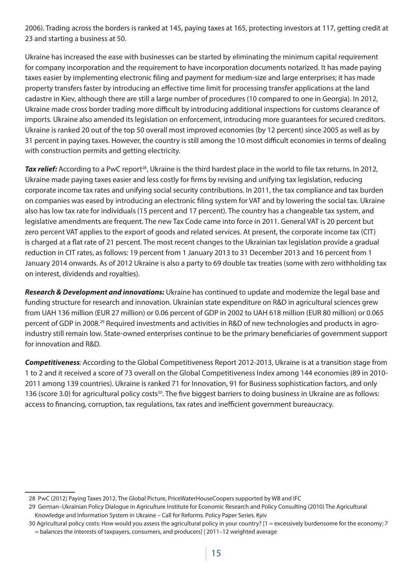2006). Trading across the borders is ranked at 145, paying taxes at 165, protecting investors at 117, getting credit at 23 and starting a business at 50.

Ukraine has increased the ease with businesses can be started by eliminating the minimum capital requirement for company incorporation and the requirement to have incorporation documents notarized. It has made paying taxes easier by implementing electronic filing and payment for medium-size and large enterprises; it has made property transfers faster by introducing an effective time limit for processing transfer applications at the land cadastre in Kiev, although there are still a large number of procedures (10 compared to one in Georgia). In 2012, Ukraine made cross border trading more difficult by introducing additional inspections for customs clearance of imports. Ukraine also amended its legislation on enforcement, introducing more guarantees for secured creditors. Ukraine is ranked 20 out of the top 50 overall most improved economies (by 12 percent) since 2005 as well as by 31 percent in paying taxes. However, the country is still among the 10 most difficult economies in terms of dealing with construction permits and getting electricity.

**Tax relief:** According to a PwC report<sup>28</sup>, Ukraine is the third hardest place in the world to file tax returns. In 2012, Ukraine made paying taxes easier and less costly for firms by revising and unifying tax legislation, reducing corporate income tax rates and unifying social security contributions. In 2011, the tax compliance and tax burden on companies was eased by introducing an electronic filing system for VAT and by lowering the social tax. Ukraine also has low tax rate for individuals (15 percent and 17 percent). The country has a changeable tax system, and legislative amendments are frequent. The new Tax Code came into force in 2011. General VAT is 20 percent but zero percent VAT applies to the export of goods and related services. At present, the corporate income tax (CIT) is charged at a flat rate of 21 percent. The most recent changes to the Ukrainian tax legislation provide a gradual reduction in CIT rates, as follows: 19 percent from 1 January 2013 to 31 December 2013 and 16 percent from 1 January 2014 onwards. As of 2012 Ukraine is also a party to 69 double tax treaties (some with zero withholding tax on interest, dividends and royalties).

**Research & Development and innovations:** Ukraine has continued to update and modernize the legal base and funding structure for research and innovation. Ukrainian state expenditure on R&D in agricultural sciences grew from UAH 136 million (EUR 27 million) or 0.06 percent of GDP in 2002 to UAH 618 million (EUR 80 million) or 0.065 percent of GDP in 2008.29 Required investments and activities in R&D of new technologies and products in agroindustry still remain low. State-owned enterprises continue to be the primary beneficiaries of government support for innovation and R&D.

**Competitiveness***:* According to the Global Competitiveness Report 2012-2013, Ukraine is at a transition stage from 1 to 2 and it received a score of 73 overall on the Global Competitiveness Index among 144 economies (89 in 2010- 2011 among 139 countries). Ukraine is ranked 71 for Innovation, 91 for Business sophistication factors, and only 136 (score 3.0) for agricultural policy costs<sup>30</sup>. The five biggest barriers to doing business in Ukraine are as follows: access to financing, corruption, tax regulations, tax rates and inefficient government bureaucracy.

<sup>28</sup> PwC (2012) Paying Taxes 2012. The Global Picture, PriceWaterHouseCoopers supported by WB and IFC

<sup>29</sup> German–Ukrainian Policy Dialogue in Agriculture Institute for Economic Research and Policy Consulting (2010) The Agricultural Knowledge and Information System in Ukraine – Call for Reforms. Policy Paper Series. Kyiv

<sup>30</sup> Agricultural policy costs: How would you assess the agricultural policy in your country? [1 = excessively burdensome for the economy; 7 = balances the interests of taxpayers, consumers, and producers] | 2011–12 weighted average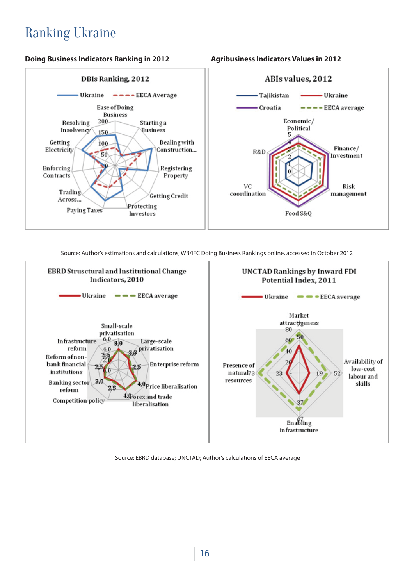# Ranking Ukraine

#### **Doing Business Indicators Ranking in 2012 Agribusiness Indicators Values in 2012**





Source: Author's estimations and calculations; WB/IFC Doing Business Rankings online, accessed in October 2012



Source: EBRD database; UNCTAD; Author's calculations of EECA average